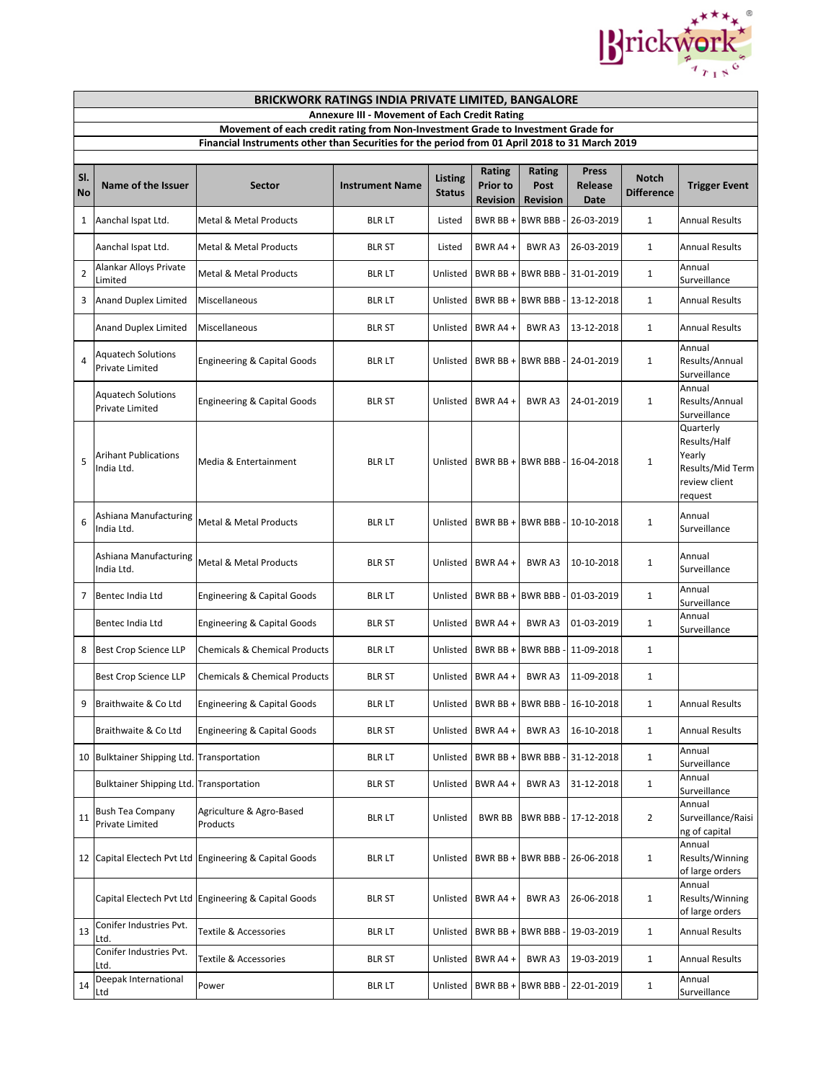

|                | <b>BRICKWORK RATINGS INDIA PRIVATE LIMITED, BANGALORE</b>                                                                                                                          |                                                         |                        |                          |                                                     |                                          |                                          |                                   |                                                                                     |  |
|----------------|------------------------------------------------------------------------------------------------------------------------------------------------------------------------------------|---------------------------------------------------------|------------------------|--------------------------|-----------------------------------------------------|------------------------------------------|------------------------------------------|-----------------------------------|-------------------------------------------------------------------------------------|--|
|                | <b>Annexure III - Movement of Each Credit Rating</b>                                                                                                                               |                                                         |                        |                          |                                                     |                                          |                                          |                                   |                                                                                     |  |
|                | Movement of each credit rating from Non-Investment Grade to Investment Grade for<br>Financial Instruments other than Securities for the period from 01 April 2018 to 31 March 2019 |                                                         |                        |                          |                                                     |                                          |                                          |                                   |                                                                                     |  |
|                |                                                                                                                                                                                    |                                                         |                        |                          |                                                     |                                          |                                          |                                   |                                                                                     |  |
| SI.<br>No      | Name of the Issuer                                                                                                                                                                 | Sector                                                  | <b>Instrument Name</b> | Listing<br><b>Status</b> | <b>Rating</b><br><b>Prior to</b><br><b>Revision</b> | <b>Rating</b><br>Post<br><b>Revision</b> | <b>Press</b><br>Release<br>Date          | <b>Notch</b><br><b>Difference</b> | <b>Trigger Event</b>                                                                |  |
| 1              | Aanchal Ispat Ltd.                                                                                                                                                                 | Metal & Metal Products                                  | <b>BLR LT</b>          | Listed                   | BWR BB +                                            | <b>BWR BBB</b>                           | 26-03-2019                               | $\mathbf{1}$                      | <b>Annual Results</b>                                                               |  |
|                | Aanchal Ispat Ltd.                                                                                                                                                                 | <b>Metal &amp; Metal Products</b>                       | <b>BLR ST</b>          | Listed                   | BWR A4 $+$                                          | <b>BWRA3</b>                             | 26-03-2019                               | $\mathbf{1}$                      | <b>Annual Results</b>                                                               |  |
| $\overline{2}$ | Alankar Alloys Private<br>Limited                                                                                                                                                  | Metal & Metal Products                                  | <b>BLR LT</b>          | Unlisted                 | BWR BB + BWR BBB                                    |                                          | 31-01-2019                               | $\mathbf{1}$                      | Annual<br>Surveillance                                                              |  |
| 3              | <b>Anand Duplex Limited</b>                                                                                                                                                        | Miscellaneous                                           | BLR LT                 | Unlisted                 | BWR BB + BWR BBB                                    |                                          | 13-12-2018                               | $\mathbf{1}$                      | <b>Annual Results</b>                                                               |  |
|                | <b>Anand Duplex Limited</b>                                                                                                                                                        | Miscellaneous                                           | BLR ST                 | Unlisted                 | BWR A4 +                                            | BWR A3                                   | 13-12-2018                               | $\mathbf{1}$                      | <b>Annual Results</b>                                                               |  |
| 4              | <b>Aquatech Solutions</b><br>Private Limited                                                                                                                                       | <b>Engineering &amp; Capital Goods</b>                  | <b>BLR LT</b>          | Unlisted                 | BWR BB +                                            | <b>BWR BBB</b>                           | 24-01-2019                               | $\mathbf{1}$                      | Annual<br>Results/Annual<br>Surveillance                                            |  |
|                | <b>Aquatech Solutions</b><br>Private Limited                                                                                                                                       | <b>Engineering &amp; Capital Goods</b>                  | BLR ST                 | Unlisted                 | BWR A4 +                                            | BWR A3                                   | 24-01-2019                               | $\mathbf{1}$                      | Annual<br>Results/Annual<br>Surveillance                                            |  |
| 5              | Arihant Publications<br>India Ltd.                                                                                                                                                 | Media & Entertainment                                   | <b>BLR LT</b>          |                          | Unlisted   BWR BB + BWR BBB                         |                                          | 16-04-2018                               | 1                                 | Quarterly<br>Results/Half<br>Yearly<br>Results/Mid Term<br>review client<br>request |  |
| 6              | Ashiana Manufacturing<br>India Ltd.                                                                                                                                                | <b>Metal &amp; Metal Products</b>                       | <b>BLR LT</b>          | Unlisted                 | BWR BB +                                            | <b>BWR BBB</b>                           | 10-10-2018                               | $\mathbf{1}$                      | Annual<br>Surveillance                                                              |  |
|                | Ashiana Manufacturing<br>India Ltd.                                                                                                                                                | <b>Metal &amp; Metal Products</b>                       | <b>BLR ST</b>          |                          | Unlisted BWR A4 +                                   | <b>BWRA3</b>                             | 10-10-2018                               | $\mathbf{1}$                      | Annual<br>Surveillance                                                              |  |
| 7              | Bentec India Ltd                                                                                                                                                                   | <b>Engineering &amp; Capital Goods</b>                  | BLR LT                 |                          | Unlisted   BWR BB +                                 | <b>BWR BBB</b>                           | 01-03-2019                               | $\mathbf{1}$                      | Annual<br>Surveillance                                                              |  |
|                | Bentec India Ltd                                                                                                                                                                   | <b>Engineering &amp; Capital Goods</b>                  | <b>BLR ST</b>          | Unlisted                 | BWR A4 +                                            | BWR A3                                   | 01-03-2019                               | $\mathbf{1}$                      | Annual<br>Surveillance                                                              |  |
| 8              | <b>Best Crop Science LLP</b>                                                                                                                                                       | <b>Chemicals &amp; Chemical Products</b>                | <b>BLR LT</b>          | Unlisted                 | BWR BB +                                            | <b>BWR BBB</b>                           | 11-09-2018                               | $\mathbf{1}$                      |                                                                                     |  |
|                | <b>Best Crop Science LLP</b>                                                                                                                                                       | <b>Chemicals &amp; Chemical Products</b>                | <b>BLR ST</b>          |                          | Unlisted BWR A4 +                                   | BWR A3                                   | 11-09-2018                               | $\mathbf{1}$                      |                                                                                     |  |
| 9              | Braithwaite & Co Ltd                                                                                                                                                               | Engineering & Capital Goods                             | <b>BLR LT</b>          |                          |                                                     |                                          | Unlisted   BWR BB + BWR BBB - 16-10-2018 | 1                                 | <b>Annual Results</b>                                                               |  |
|                | Braithwaite & Co Ltd                                                                                                                                                               | <b>Engineering &amp; Capital Goods</b>                  | <b>BLR ST</b>          | Unlisted                 | BWR $A4 +$                                          | <b>BWRA3</b>                             | 16-10-2018                               | $\mathbf{1}$                      | <b>Annual Results</b>                                                               |  |
|                | 10 Bulktainer Shipping Ltd. Transportation                                                                                                                                         |                                                         | <b>BLR LT</b>          | Unlisted                 | BWR BB + BWR BBB                                    |                                          | 31-12-2018                               | $\mathbf{1}$                      | Annual<br>Surveillance                                                              |  |
|                | <b>Bulktainer Shipping Ltd. Transportation</b>                                                                                                                                     |                                                         | <b>BLR ST</b>          | Unlisted                 | BWR A4 +                                            | BWR A3                                   | 31-12-2018                               | $\mathbf{1}$                      | Annual<br>Surveillance                                                              |  |
| 11             | <b>Bush Tea Company</b><br>Private Limited                                                                                                                                         | Agriculture & Agro-Based<br>Products                    | <b>BLR LT</b>          | Unlisted                 | <b>BWR BB</b>                                       | <b>BWR BBB</b>                           | 17-12-2018                               | $\overline{2}$                    | Annual<br>Surveillance/Raisi<br>ng of capital                                       |  |
|                |                                                                                                                                                                                    | 12 Capital Electech Pvt Ltd Engineering & Capital Goods | <b>BLRLT</b>           | Unlisted                 | BWR BB +                                            | <b>BWR BBB</b>                           | 26-06-2018                               | $\mathbf{1}$                      | Annual<br>Results/Winning<br>of large orders                                        |  |
|                |                                                                                                                                                                                    | Capital Electech Pvt Ltd Engineering & Capital Goods    | <b>BLR ST</b>          |                          | Unlisted   BWR A4 +                                 | BWR A3                                   | 26-06-2018                               | $\mathbf{1}$                      | Annual<br>Results/Winning<br>of large orders                                        |  |
| 13             | Conifer Industries Pvt.<br>Ltd.                                                                                                                                                    | Textile & Accessories                                   | <b>BLR LT</b>          | Unlisted                 | BWR BB +                                            | <b>BWR BBB</b>                           | 19-03-2019                               | $\mathbf{1}$                      | <b>Annual Results</b>                                                               |  |
|                | Conifer Industries Pvt.<br>Ltd.                                                                                                                                                    | Textile & Accessories                                   | <b>BLR ST</b>          | Unlisted                 | BWR A4 +                                            | BWR A3                                   | 19-03-2019                               | $\mathbf{1}$                      | <b>Annual Results</b>                                                               |  |
| 14             | Deepak International<br>Ltd                                                                                                                                                        | Power                                                   | <b>BLR LT</b>          |                          | Unlisted   BWR BB + BWR BBB                         |                                          | 22-01-2019                               | $\mathbf 1$                       | Annual<br>Surveillance                                                              |  |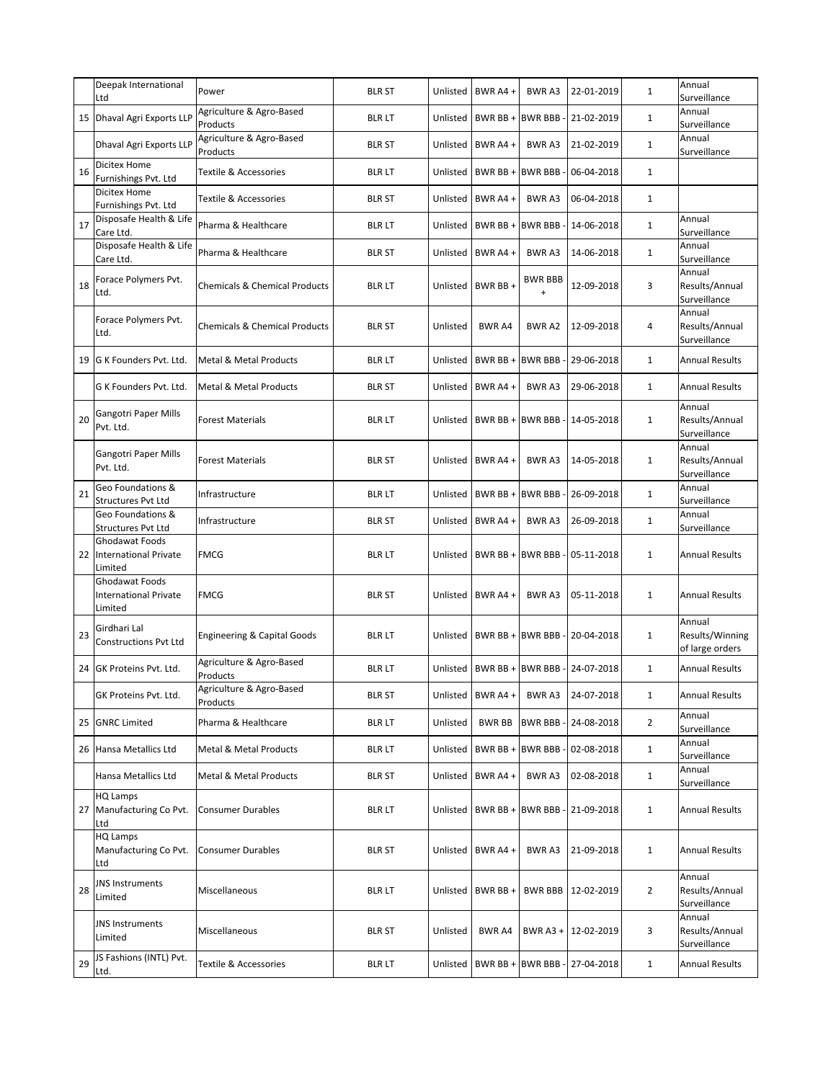|    | Deepak International<br>Ltd                               | Power                                    | <b>BLR ST</b> | Unlisted | BWR A4 +          | <b>BWRA3</b>                | 22-01-2019           | $\mathbf{1}$   | Annual<br>Surveillance                       |
|----|-----------------------------------------------------------|------------------------------------------|---------------|----------|-------------------|-----------------------------|----------------------|----------------|----------------------------------------------|
| 15 | Dhaval Agri Exports LLP                                   | Agriculture & Agro-Based<br>Products     | <b>BLR LT</b> | Unlisted | BWR BB +          | <b>BWR BBB-</b>             | 21-02-2019           | $\mathbf{1}$   | Annual<br>Surveillance                       |
|    | <b>Dhaval Agri Exports LLP</b>                            | Agriculture & Agro-Based<br>Products     | <b>BLR ST</b> | Unlisted | BWR A4+           | <b>BWRA3</b>                | 21-02-2019           | $\mathbf{1}$   | Annual<br>Surveillance                       |
| 16 | Dicitex Home<br>Furnishings Pvt. Ltd                      | <b>Textile &amp; Accessories</b>         | <b>BLR LT</b> | Unlisted | BWR BB +          | <b>BWR BBB-</b>             | 06-04-2018           | $\mathbf{1}$   |                                              |
|    | Dicitex Home<br>Furnishings Pvt. Ltd                      | Textile & Accessories                    | <b>BLR ST</b> | Unlisted | BWR A4+           | BWR A3                      | 06-04-2018           | $\mathbf{1}$   |                                              |
| 17 | Disposafe Health & Life<br>Care Ltd.                      | Pharma & Healthcare                      | <b>BLR LT</b> | Unlisted | BWR BB +          | <b>BWR BBB</b>              | 14-06-2018           | $\mathbf{1}$   | Annual<br>Surveillance                       |
|    | Disposafe Health & Life<br>Care Ltd.                      | Pharma & Healthcare                      | <b>BLR ST</b> | Unlisted | BWR A4 +          | <b>BWRA3</b>                | 14-06-2018           | $\mathbf{1}$   | Annual<br>Surveillance                       |
| 18 | Forace Polymers Pvt.<br>Ltd.                              | <b>Chemicals &amp; Chemical Products</b> | <b>BLR LT</b> | Unlisted | BWR BB+           | <b>BWR BBB</b><br>$\ddot{}$ | 12-09-2018           | 3              | Annual<br>Results/Annual<br>Surveillance     |
|    | Forace Polymers Pvt.<br>Ltd.                              | <b>Chemicals &amp; Chemical Products</b> | <b>BLR ST</b> | Unlisted | <b>BWR A4</b>     | BWR A2                      | 12-09-2018           | 4              | Annual<br>Results/Annual<br>Surveillance     |
| 19 | G K Founders Pvt. Ltd.                                    | <b>Metal &amp; Metal Products</b>        | <b>BLR LT</b> | Unlisted | BWR BB +          | <b>BWR BBB-</b>             | 29-06-2018           | $\mathbf{1}$   | <b>Annual Results</b>                        |
|    | G K Founders Pvt. Ltd.                                    | <b>Metal &amp; Metal Products</b>        | <b>BLR ST</b> | Unlisted | BWR A4 +          | BWR A3                      | 29-06-2018           | $\mathbf{1}$   | <b>Annual Results</b>                        |
| 20 | Gangotri Paper Mills<br>Pvt. Ltd.                         | <b>Forest Materials</b>                  | <b>BLR LT</b> | Unlisted | BWR BB +          |                             | BWR BBB - 14-05-2018 | $\mathbf{1}$   | Annual<br>Results/Annual<br>Surveillance     |
|    | Gangotri Paper Mills<br>Pvt. Ltd.                         | <b>Forest Materials</b>                  | <b>BLR ST</b> | Unlisted | BWR A4+           | <b>BWRA3</b>                | 14-05-2018           | $\mathbf{1}$   | Annual<br>Results/Annual<br>Surveillance     |
| 21 | Geo Foundations &<br>Structures Pvt Ltd                   | Infrastructure                           | <b>BLR LT</b> | Unlisted | BWR BB +          | <b>BWR BBB-</b>             | 26-09-2018           | $\mathbf{1}$   | Annual<br>Surveillance                       |
|    | Geo Foundations &<br><b>Structures Pvt Ltd</b>            | Infrastructure                           | <b>BLR ST</b> | Unlisted | BWR A4+           | <b>BWRA3</b>                | 26-09-2018           | $\mathbf{1}$   | Annual<br>Surveillance                       |
| 22 | Ghodawat Foods<br><b>International Private</b><br>Limited | <b>FMCG</b>                              | <b>BLR LT</b> | Unlisted | BWR BB +          | <b>BWR BBB-</b>             | 05-11-2018           | $\mathbf{1}$   | <b>Annual Results</b>                        |
|    | Ghodawat Foods<br><b>International Private</b><br>Limited | <b>FMCG</b>                              | <b>BLR ST</b> | Unlisted | BWR A4 +          | <b>BWRA3</b>                | 05-11-2018           | $\mathbf{1}$   | <b>Annual Results</b>                        |
| 23 | Girdhari Lal<br><b>Constructions Pvt Ltd</b>              | Engineering & Capital Goods              | <b>BLR LT</b> | Unlisted | BWR BB +          | <b>BWR BBB</b>              | 20-04-2018           | $\mathbf{1}$   | Annual<br>Results/Winning<br>of large orders |
| 24 | GK Proteins Pvt. Ltd.                                     | Agriculture & Agro-Based<br>Products     | <b>BLR LT</b> | Unlisted | BWR BB+           |                             | BWR BBB - 24-07-2018 | $\mathbf{1}$   | <b>Annual Results</b>                        |
|    | GK Proteins Pvt. Ltd.                                     | Agriculture & Agro-Based<br>Products     | <b>BLR ST</b> |          | Unlisted BWR A4 + | BWR A3                      | 24-07-2018           | $1\,$          | <b>Annual Results</b>                        |
| 25 | <b>GNRC Limited</b>                                       | Pharma & Healthcare                      | <b>BLRLT</b>  | Unlisted | <b>BWR BB</b>     | <b>BWR BBB-</b>             | 24-08-2018           | $\overline{2}$ | Annual<br>Surveillance                       |
|    | 26 Hansa Metallics Ltd                                    | Metal & Metal Products                   | <b>BLR LT</b> | Unlisted | BWR BB +          | <b>BWR BBB-</b>             | 02-08-2018           | $\mathbf{1}$   | Annual<br>Surveillance                       |
|    | Hansa Metallics Ltd                                       | Metal & Metal Products                   | <b>BLR ST</b> | Unlisted | BWR A4+           | BWR A3                      | 02-08-2018           | $\mathbf{1}$   | Annual<br>Surveillance                       |
| 27 | HQ Lamps<br>Manufacturing Co Pvt.<br>Ltd                  | <b>Consumer Durables</b>                 | <b>BLR LT</b> | Unlisted | BWR BB +          |                             | BWR BBB - 21-09-2018 | $\mathbf{1}$   | <b>Annual Results</b>                        |
|    | HQ Lamps<br>Manufacturing Co Pvt.<br>Ltd                  | <b>Consumer Durables</b>                 | <b>BLR ST</b> |          | Unlisted BWR A4 + | BWR A3                      | 21-09-2018           | $\mathbf{1}$   | <b>Annual Results</b>                        |
| 28 | <b>JNS Instruments</b><br>Limited                         | Miscellaneous                            | <b>BLR LT</b> | Unlisted | BWR BB +          |                             | BWR BBB   12-02-2019 | $\overline{2}$ | Annual<br>Results/Annual<br>Surveillance     |
|    | <b>JNS Instruments</b><br>Limited                         | Miscellaneous                            | <b>BLR ST</b> | Unlisted | <b>BWR A4</b>     |                             | BWR A3 + 12-02-2019  | 3              | Annual<br>Results/Annual<br>Surveillance     |
| 29 | JS Fashions (INTL) Pvt.<br>Ltd.                           | Textile & Accessories                    | <b>BLR LT</b> | Unlisted | BWR BB+           |                             | BWR BBB - 27-04-2018 | $\mathbf{1}$   | <b>Annual Results</b>                        |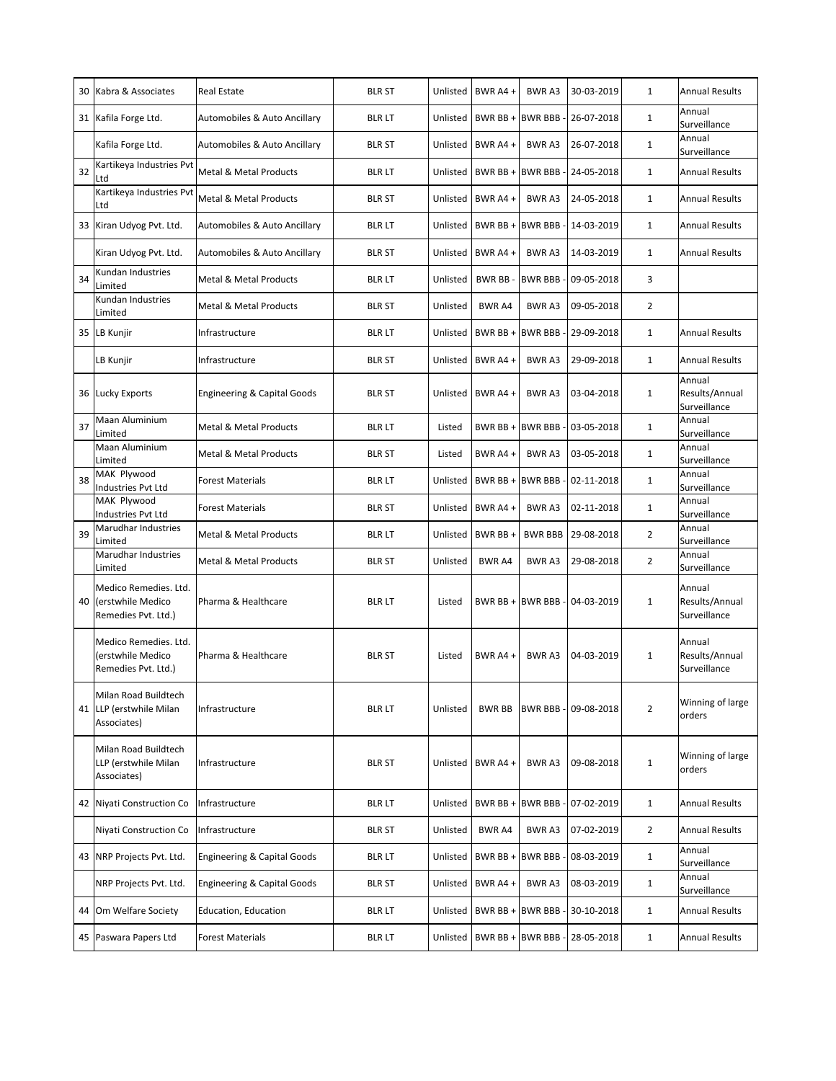| 30 | Kabra & Associates                                                | <b>Real Estate</b>                     | <b>BLR ST</b> |          | Unlisted   BWR A4 + | <b>BWRA3</b>                  | 30-03-2019                    | 1              | <b>Annual Results</b>                    |
|----|-------------------------------------------------------------------|----------------------------------------|---------------|----------|---------------------|-------------------------------|-------------------------------|----------------|------------------------------------------|
|    | 31 Kafila Forge Ltd.                                              | Automobiles & Auto Ancillary           | <b>BLR LT</b> | Unlisted |                     | BWR BB + BWR BBB -            | 26-07-2018                    | $\mathbf{1}$   | Annual<br>Surveillance                   |
|    | Kafila Forge Ltd.                                                 | Automobiles & Auto Ancillary           | <b>BLR ST</b> | Unlisted | BWR A4 +            | <b>BWRA3</b>                  | 26-07-2018                    | $\mathbf{1}$   | Annual<br>Surveillance                   |
| 32 | Kartikeya Industries Pvt<br>Ltd                                   | <b>Metal &amp; Metal Products</b>      | <b>BLR LT</b> |          |                     | Unlisted   BWR BB + BWR BBB - | 24-05-2018                    | $\mathbf{1}$   | <b>Annual Results</b>                    |
|    | Kartikeya Industries Pvt<br>Ltd                                   | Metal & Metal Products                 | <b>BLR ST</b> |          | Unlisted BWR A4 +   | BWR A3                        | 24-05-2018                    | $\mathbf{1}$   | <b>Annual Results</b>                    |
| 33 | Kiran Udyog Pvt. Ltd.                                             | Automobiles & Auto Ancillary           | <b>BLR LT</b> | Unlisted |                     | BWR BB + BWR BBB -            | 14-03-2019                    | $\mathbf{1}$   | <b>Annual Results</b>                    |
|    | Kiran Udyog Pvt. Ltd.                                             | Automobiles & Auto Ancillary           | <b>BLR ST</b> |          | Unlisted BWR A4 +   | BWR A3                        | 14-03-2019                    | $\mathbf{1}$   | <b>Annual Results</b>                    |
| 34 | Kundan Industries<br>Limited                                      | <b>Metal &amp; Metal Products</b>      | <b>BLR LT</b> | Unlisted | BWR BB-             | <b>BWR BBB-</b>               | 09-05-2018                    | 3              |                                          |
|    | Kundan Industries<br>Limited                                      | Metal & Metal Products                 | <b>BLR ST</b> | Unlisted | <b>BWR A4</b>       | <b>BWRA3</b>                  | 09-05-2018                    | $\overline{2}$ |                                          |
|    | 35 LB Kunjir                                                      | Infrastructure                         | <b>BLR LT</b> | Unlisted |                     | BWR BB + BWR BBB -            | 29-09-2018                    | $\mathbf{1}$   | <b>Annual Results</b>                    |
|    | LB Kunjir                                                         | Infrastructure                         | <b>BLR ST</b> |          | Unlisted BWR A4 +   | BWR A3                        | 29-09-2018                    | $\mathbf{1}$   | <b>Annual Results</b>                    |
|    | 36 Lucky Exports                                                  | <b>Engineering &amp; Capital Goods</b> | <b>BLR ST</b> |          | Unlisted   BWR A4 + | <b>BWRA3</b>                  | 03-04-2018                    | $\mathbf{1}$   | Annual<br>Results/Annual<br>Surveillance |
| 37 | Maan Aluminium<br>Limited                                         | <b>Metal &amp; Metal Products</b>      | <b>BLRLT</b>  | Listed   |                     |                               | BWR BB + BWR BBB - 03-05-2018 | $\mathbf{1}$   | Annual<br>Surveillance                   |
|    | Maan Aluminium<br>Limited                                         | <b>Metal &amp; Metal Products</b>      | <b>BLR ST</b> | Listed   | BWR A4+             | <b>BWRA3</b>                  | 03-05-2018                    | $\mathbf{1}$   | Annual<br>Surveillance                   |
| 38 | MAK Plywood<br>Industries Pvt Ltd                                 | <b>Forest Materials</b>                | <b>BLR LT</b> |          |                     | Unlisted   BWR BB + BWR BBB - | 02-11-2018                    | $\mathbf{1}$   | Annual<br>Surveillance                   |
|    | MAK Plywood<br>Industries Pvt Ltd                                 | <b>Forest Materials</b>                | <b>BLR ST</b> |          | Unlisted BWR A4 +   | BWR A3                        | 02-11-2018                    | $\mathbf{1}$   | Annual<br>Surveillance                   |
| 39 | Marudhar Industries<br>Limited                                    | Metal & Metal Products                 | <b>BLR LT</b> | Unlisted | BWR BB +            | <b>BWR BBB</b>                | 29-08-2018                    | $\overline{2}$ | Annual<br>Surveillance                   |
|    | Marudhar Industries<br>Limited                                    | <b>Metal &amp; Metal Products</b>      | <b>BLR ST</b> | Unlisted | <b>BWR A4</b>       | <b>BWRA3</b>                  | 29-08-2018                    | $\overline{2}$ | Annual<br>Surveillance                   |
| 40 | Medico Remedies. Ltd.<br>(erstwhile Medico<br>Remedies Pvt. Ltd.) | Pharma & Healthcare                    | <b>BLR LT</b> | Listed   | BWR BB + BWR BBB    |                               | 04-03-2019                    | $\mathbf 1$    | Annual<br>Results/Annual<br>Surveillance |
|    | Medico Remedies. Ltd.<br>(erstwhile Medico<br>Remedies Pvt. Ltd.) | Pharma & Healthcare                    | <b>BLR ST</b> | Listed   | BWR $A4 +$          | BWR A3                        | 04-03-2019                    | $\mathbf{1}$   | Annual<br>Results/Annual<br>Surveillance |
| 41 | Milan Road Buildtech<br>LLP (erstwhile Milan<br>Associates)       | Infrastructure                         | <b>BLRLT</b>  | Unlisted | <b>BWR BB</b>       | <b>BWR BBB</b>                | 09-08-2018                    | $\overline{2}$ | Winning of large<br>orders               |
|    | Milan Road Buildtech<br>LLP (erstwhile Milan<br>Associates)       | Infrastructure                         | <b>BLR ST</b> |          | Unlisted   BWR A4 + | <b>BWRA3</b>                  | 09-08-2018                    | $\mathbf{1}$   | Winning of large<br>orders               |
|    | 42 Niyati Construction Co                                         | Infrastructure                         | <b>BLR LT</b> | Unlisted |                     | BWR BB + BWR BBB -            | 07-02-2019                    | $\mathbf{1}$   | <b>Annual Results</b>                    |
|    | Niyati Construction Co                                            | Infrastructure                         | <b>BLR ST</b> | Unlisted | <b>BWR A4</b>       | <b>BWRA3</b>                  | 07-02-2019                    | $\overline{2}$ | <b>Annual Results</b>                    |
|    | 43 NRP Projects Pvt. Ltd.                                         | Engineering & Capital Goods            | <b>BLR LT</b> | Unlisted | BWR BB + BWR BBB    |                               | 08-03-2019                    | $\mathbf{1}$   | Annual<br>Surveillance                   |
|    | NRP Projects Pvt. Ltd.                                            | Engineering & Capital Goods            | <b>BLR ST</b> | Unlisted | BWR A4 +            | BWR A3                        | 08-03-2019                    | $\mathbf{1}$   | Annual<br>Surveillance                   |
| 44 | Om Welfare Society                                                | Education, Education                   | <b>BLR LT</b> | Unlisted |                     | BWR BB + BWR BBB -            | 30-10-2018                    | $\mathbf{1}$   | <b>Annual Results</b>                    |
|    | 45 Paswara Papers Ltd                                             | <b>Forest Materials</b>                | <b>BLR LT</b> |          |                     | Unlisted   BWR BB + BWR BBB - | 28-05-2018                    | $\mathbf{1}$   | <b>Annual Results</b>                    |
|    |                                                                   |                                        |               |          |                     |                               |                               |                |                                          |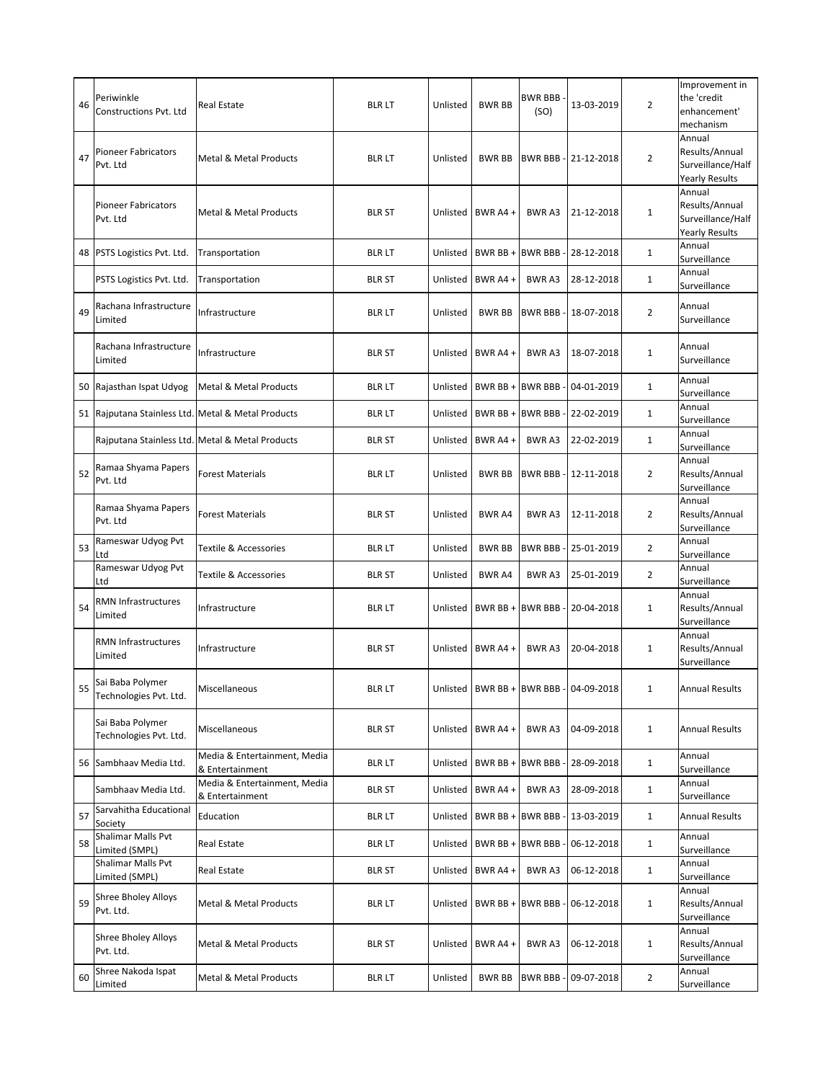| 46 | Periwinkle<br>Constructions Pvt. Ltd       | Real Estate                                     | <b>BLR LT</b> | Unlisted | <b>BWR BB</b>     | <b>BWR BBB</b><br>(SO) | 13-03-2019                               | $\overline{2}$ | Improvement in<br>the 'credit<br>enhancement'<br>mechanism             |
|----|--------------------------------------------|-------------------------------------------------|---------------|----------|-------------------|------------------------|------------------------------------------|----------------|------------------------------------------------------------------------|
| 47 | <b>Pioneer Fabricators</b><br>Pvt. Ltd     | Metal & Metal Products                          | <b>BLR LT</b> | Unlisted | <b>BWR BB</b>     |                        | BWR BBB - 21-12-2018                     | 2              | Annual<br>Results/Annual<br>Surveillance/Half<br><b>Yearly Results</b> |
|    | <b>Pioneer Fabricators</b><br>Pvt. Ltd     | <b>Metal &amp; Metal Products</b>               | <b>BLR ST</b> | Unlisted | BWR A4 +          | <b>BWRA3</b>           | 21-12-2018                               | $\mathbf{1}$   | Annual<br>Results/Annual<br>Surveillance/Half<br><b>Yearly Results</b> |
| 48 | PSTS Logistics Pvt. Ltd.                   | Transportation                                  | <b>BLR LT</b> | Unlisted | BWR BB +          | <b>BWR BBB-</b>        | 28-12-2018                               | $\mathbf{1}$   | Annual<br>Surveillance                                                 |
|    | PSTS Logistics Pvt. Ltd.                   | Transportation                                  | <b>BLR ST</b> | Unlisted | BWR A4 +          | BWR A3                 | 28-12-2018                               | $\mathbf{1}$   | Annual<br>Surveillance                                                 |
| 49 | Rachana Infrastructure<br>Limited          | Infrastructure                                  | <b>BLR LT</b> | Unlisted | <b>BWR BB</b>     |                        | BWR BBB - 18-07-2018                     | $\overline{2}$ | Annual<br>Surveillance                                                 |
|    | Rachana Infrastructure<br>Limited          | Infrastructure                                  | <b>BLR ST</b> | Unlisted | BWR A4 +          | BWR A3                 | 18-07-2018                               | $\mathbf{1}$   | Annual<br>Surveillance                                                 |
| 50 | Rajasthan Ispat Udyog                      | Metal & Metal Products                          | <b>BLR LT</b> | Unlisted | BWR BB +          | <b>BWR BBB-</b>        | 04-01-2019                               | $\mathbf{1}$   | Annual<br>Surveillance                                                 |
| 51 |                                            | Rajputana Stainless Ltd. Metal & Metal Products | <b>BLR LT</b> | Unlisted |                   |                        | BWR BB + BWR BBB - 22-02-2019            | $\mathbf{1}$   | Annual<br>Surveillance                                                 |
|    |                                            | Rajputana Stainless Ltd. Metal & Metal Products | <b>BLR ST</b> | Unlisted | BWR A4 +          | <b>BWRA3</b>           | 22-02-2019                               | $\mathbf{1}$   | Annual<br>Surveillance                                                 |
| 52 | Ramaa Shyama Papers<br>Pvt. Ltd            | <b>Forest Materials</b>                         | <b>BLR LT</b> | Unlisted | <b>BWR BB</b>     | BWR BBB-               | 12-11-2018                               | $\overline{2}$ | Annual<br>Results/Annual<br>Surveillance                               |
|    | Ramaa Shyama Papers<br>Pvt. Ltd            | <b>Forest Materials</b>                         | <b>BLR ST</b> | Unlisted | <b>BWR A4</b>     | <b>BWRA3</b>           | 12-11-2018                               | 2              | Annual<br>Results/Annual<br>Surveillance                               |
| 53 | Rameswar Udyog Pvt<br>Ltd                  | Textile & Accessories                           | <b>BLR LT</b> | Unlisted | <b>BWR BB</b>     |                        | BWR BBB - 25-01-2019                     | 2              | Annual<br>Surveillance                                                 |
|    | Rameswar Udyog Pvt<br>Ltd                  | Textile & Accessories                           | <b>BLR ST</b> | Unlisted | <b>BWR A4</b>     | <b>BWRA3</b>           | 25-01-2019                               | $\overline{2}$ | Annual<br>Surveillance                                                 |
| 54 | <b>RMN Infrastructures</b><br>Limited      | Infrastructure                                  | <b>BLR LT</b> |          |                   |                        | Unlisted   BWR BB + BWR BBB - 20-04-2018 | $\mathbf{1}$   | Annual<br>Results/Annual<br>Surveillance                               |
|    | RMN Infrastructures<br>Limited             | Infrastructure                                  | <b>BLR ST</b> | Unlisted | BWR A4 +          | <b>BWRA3</b>           | 20-04-2018                               | $\mathbf{1}$   | Annual<br>Results/Annual<br>Surveillance                               |
|    | Sai Baba Polymer<br>Technologies Pvt. Ltd. | Miscellaneous                                   | blr lt        |          |                   |                        | Unlisted   BWR BB + BWR BBB - 04-09-2018 | 1              | <b>Annual Results</b>                                                  |
|    | Sai Baba Polymer<br>Technologies Pvt. Ltd. | Miscellaneous                                   | <b>BLR ST</b> |          | Unlisted BWR A4 + | BWR A3                 | 04-09-2018                               | $\mathbf{1}$   | <b>Annual Results</b>                                                  |
| 56 | Sambhaav Media Ltd.                        | Media & Entertainment, Media<br>& Entertainment | <b>BLR LT</b> |          | Unlisted BWR BB + |                        | BWR BBB - 28-09-2018                     | $\mathbf{1}$   | Annual<br>Surveillance                                                 |
|    | Sambhaav Media Ltd.                        | Media & Entertainment, Media<br>& Entertainment | <b>BLR ST</b> | Unlisted | BWR A4+           | BWR A3                 | 28-09-2018                               | $\mathbf{1}$   | Annual<br>Surveillance                                                 |
| 57 | Sarvahitha Educational<br>Society          | Education                                       | <b>BLR LT</b> | Unlisted | BWR BB +          | <b>BWR BBB-</b>        | 13-03-2019                               | $\mathbf{1}$   | <b>Annual Results</b>                                                  |
| 58 | Shalimar Malls Pvt<br>Limited (SMPL)       | Real Estate                                     | <b>BLR LT</b> | Unlisted | BWR BB +          | <b>BWR BBB-</b>        | 06-12-2018                               | $\mathbf{1}$   | Annual<br>Surveillance                                                 |
|    | Shalimar Malls Pvt<br>Limited (SMPL)       | Real Estate                                     | <b>BLR ST</b> |          | Unlisted BWR A4 + | BWR A3                 | 06-12-2018                               | $\mathbf{1}$   | Annual<br>Surveillance                                                 |
| 59 | <b>Shree Bholey Alloys</b><br>Pvt. Ltd.    | Metal & Metal Products                          | <b>BLR LT</b> | Unlisted |                   | BWR BB + BWR BBB -     | 06-12-2018                               | $\mathbf{1}$   | Annual<br>Results/Annual<br>Surveillance                               |
|    | <b>Shree Bholey Alloys</b><br>Pvt. Ltd.    | Metal & Metal Products                          | <b>BLR ST</b> |          | Unlisted BWR A4 + | BWR A3                 | 06-12-2018                               | $\mathbf{1}$   | Annual<br>Results/Annual<br>Surveillance                               |
| 60 | Shree Nakoda Ispat<br>Limited              | Metal & Metal Products                          | <b>BLR LT</b> | Unlisted | <b>BWR BB</b>     |                        | BWR BBB - 09-07-2018                     | $\overline{2}$ | Annual<br>Surveillance                                                 |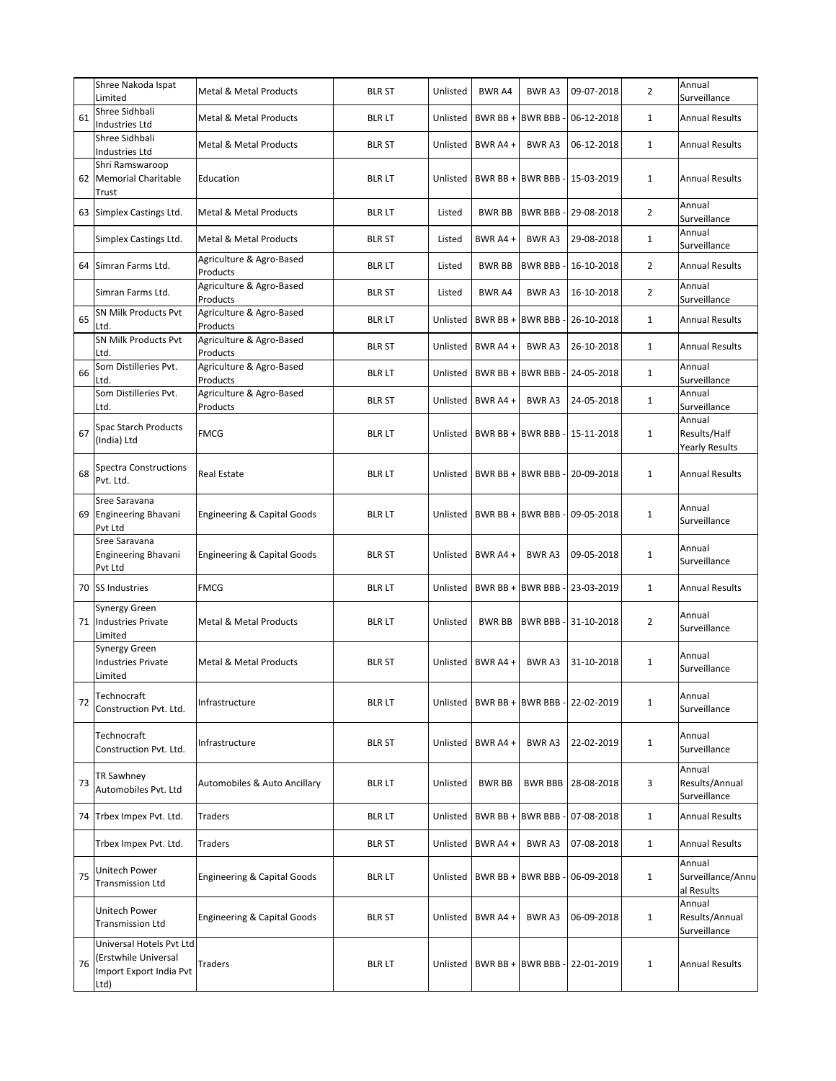|    | Shree Nakoda Ispat<br>Limited                                                       | <b>Metal &amp; Metal Products</b>      | <b>BLR ST</b> | Unlisted | <b>BWR A4</b>               | <b>BWRA3</b>                  | 09-07-2018                                 | 2              | Annual<br>Surveillance                          |
|----|-------------------------------------------------------------------------------------|----------------------------------------|---------------|----------|-----------------------------|-------------------------------|--------------------------------------------|----------------|-------------------------------------------------|
| 61 | Shree Sidhbali<br>Industries Ltd                                                    | <b>Metal &amp; Metal Products</b>      | <b>BLR LT</b> | Unlisted | BWR BB +                    | <b>BWR BBB</b>                | 06-12-2018                                 | $\mathbf{1}$   | <b>Annual Results</b>                           |
|    | Shree Sidhbali<br>Industries Ltd                                                    | <b>Metal &amp; Metal Products</b>      | <b>BLR ST</b> | Unlisted | BWR A4+                     | BWR A3                        | 06-12-2018                                 | $\mathbf{1}$   | <b>Annual Results</b>                           |
| 62 | Shri Ramswaroop<br><b>Memorial Charitable</b><br>Trust                              | Education                              | <b>BLR LT</b> | Unlisted | BWR BB +                    | <b>BWR BBB</b>                | $-15-03-2019$                              | $\mathbf{1}$   | <b>Annual Results</b>                           |
|    | 63 Simplex Castings Ltd.                                                            | <b>Metal &amp; Metal Products</b>      | <b>BLR LT</b> | Listed   | <b>BWR BB</b>               | <b>BWR BBB-</b>               | 29-08-2018                                 | $\overline{2}$ | Annual<br>Surveillance                          |
|    | Simplex Castings Ltd.                                                               | <b>Metal &amp; Metal Products</b>      | <b>BLR ST</b> | Listed   | BWR A4+                     | <b>BWRA3</b>                  | 29-08-2018                                 | $\mathbf{1}$   | Annual<br>Surveillance                          |
| 64 | Simran Farms Ltd.                                                                   | Agriculture & Agro-Based<br>Products   | <b>BLR LT</b> | Listed   | <b>BWR BB</b>               | BWR BBB-                      | 16-10-2018                                 | $\overline{2}$ | <b>Annual Results</b>                           |
|    | Simran Farms Ltd.                                                                   | Agriculture & Agro-Based<br>Products   | <b>BLR ST</b> | Listed   | <b>BWR A4</b>               | BWR A3                        | 16-10-2018                                 | $\overline{2}$ | Annual<br>Surveillance                          |
| 65 | SN Milk Products Pvt<br>Ltd.                                                        | Agriculture & Agro-Based<br>Products   | <b>BLR LT</b> | Unlisted | BWR BB +                    | <b>BWR BBB</b>                | 26-10-2018                                 | $\mathbf{1}$   | <b>Annual Results</b>                           |
|    | SN Milk Products Pvt<br>Ltd.                                                        | Agriculture & Agro-Based<br>Products   | <b>BLR ST</b> | Unlisted | BWR A4 +                    | <b>BWRA3</b>                  | 26-10-2018                                 | $\mathbf{1}$   | <b>Annual Results</b>                           |
| 66 | Som Distilleries Pvt.<br>Ltd.                                                       | Agriculture & Agro-Based<br>Products   | <b>BLR LT</b> | Unlisted | BWR BB +                    | <b>BWR BBB</b>                | 24-05-2018                                 | $\mathbf{1}$   | Annual<br>Surveillance                          |
|    | Som Distilleries Pvt.<br>Ltd.                                                       | Agriculture & Agro-Based<br>Products   | <b>BLR ST</b> | Unlisted | BWR A4+                     | BWR A3                        | 24-05-2018                                 | $\mathbf{1}$   | Annual<br>Surveillance                          |
| 67 | Spac Starch Products<br>(India) Ltd                                                 | <b>FMCG</b>                            | <b>BLR LT</b> | Unlisted | BWR BB + BWR BBB            |                               | 15-11-2018                                 | $\mathbf{1}$   | Annual<br>Results/Half<br><b>Yearly Results</b> |
| 68 | Spectra Constructions<br>Pvt. Ltd.                                                  | Real Estate                            | <b>BLR LT</b> |          |                             | Unlisted   BWR BB + BWR BBB - | 20-09-2018                                 | $\mathbf{1}$   | <b>Annual Results</b>                           |
| 69 | Sree Saravana<br>Engineering Bhavani<br>Pvt Ltd                                     | Engineering & Capital Goods            | <b>BLR LT</b> |          | Unlisted   BWR BB + BWR BBB |                               | 09-05-2018                                 | $\mathbf{1}$   | Annual<br>Surveillance                          |
|    | Sree Saravana<br>Engineering Bhavani<br>Pvt Ltd                                     | <b>Engineering &amp; Capital Goods</b> | <b>BLR ST</b> | Unlisted | BWR A4 +                    | <b>BWRA3</b>                  | 09-05-2018                                 | $\mathbf{1}$   | Annual<br>Surveillance                          |
| 70 | <b>SS Industries</b>                                                                | <b>FMCG</b>                            | <b>BLR LT</b> |          | Unlisted   BWR BB +         |                               | BWR BBB - 23-03-2019                       | $\mathbf{1}$   | <b>Annual Results</b>                           |
| 71 | Synergy Green<br><b>Industries Private</b><br>Limited                               | Metal & Metal Products                 | <b>BLR LT</b> | Unlisted | <b>BWR BB</b>               | <b>BWR BBB-</b>               | 31-10-2018                                 | $\overline{2}$ | Annual<br>Surveillance                          |
|    | Synergy Green<br><b>Industries Private</b><br>Limited                               | Metal & Metal Products                 | <b>BLR ST</b> |          | Unlisted   BWR A4 +         | BWR A3                        | 31-10-2018                                 | $\mathbf{1}$   | Annual<br>Surveillance                          |
| 72 | Technocraft<br>Construction Pvt. Ltd.                                               | Infrastructure                         | <b>BLR LT</b> |          |                             |                               | Unlisted   BWR BB +   BWR BBB - 22-02-2019 | 1              | Annual<br>Surveillance                          |
|    | Technocraft<br>Construction Pvt. Ltd.                                               | Infrastructure                         | <b>BLR ST</b> | Unlisted | BWR A4+                     | BWR A3                        | 22-02-2019                                 | $\mathbf{1}$   | Annual<br>Surveillance                          |
| 73 | TR Sawhney<br>Automobiles Pvt. Ltd                                                  | Automobiles & Auto Ancillary           | <b>BLR LT</b> | Unlisted | <b>BWR BB</b>               | BWR BBB                       | 28-08-2018                                 | 3              | Annual<br>Results/Annual<br>Surveillance        |
|    | 74 Trbex Impex Pvt. Ltd.                                                            | <b>Traders</b>                         | <b>BLR LT</b> | Unlisted | BWR BB +                    | <b>BWR BBB</b>                | 07-08-2018                                 | $\mathbf{1}$   | <b>Annual Results</b>                           |
|    | Trbex Impex Pvt. Ltd.                                                               | <b>Traders</b>                         | <b>BLR ST</b> |          | Unlisted   BWR A4 +         | BWR A3                        | 07-08-2018                                 | $\mathbf{1}$   | <b>Annual Results</b>                           |
| 75 | Unitech Power<br><b>Transmission Ltd</b>                                            | <b>Engineering &amp; Capital Goods</b> | <b>BLR LT</b> | Unlisted | BWR BB +                    | <b>BWR BBB</b>                | 06-09-2018                                 | $\mathbf{1}$   | Annual<br>Surveillance/Annu<br>al Results       |
|    | Unitech Power<br><b>Transmission Ltd</b>                                            | <b>Engineering &amp; Capital Goods</b> | <b>BLR ST</b> | Unlisted | BWR A4 +                    | BWR A3                        | 06-09-2018                                 | $\mathbf{1}$   | Annual<br>Results/Annual<br>Surveillance        |
| 76 | Universal Hotels Pvt Ltd<br>(Erstwhile Universal<br>Import Export India Pvt<br>Ltd) | <b>Traders</b>                         | <b>BLR LT</b> |          | Unlisted   BWR BB + BWR BBB |                               | 22-01-2019                                 | $\mathbf{1}$   | <b>Annual Results</b>                           |